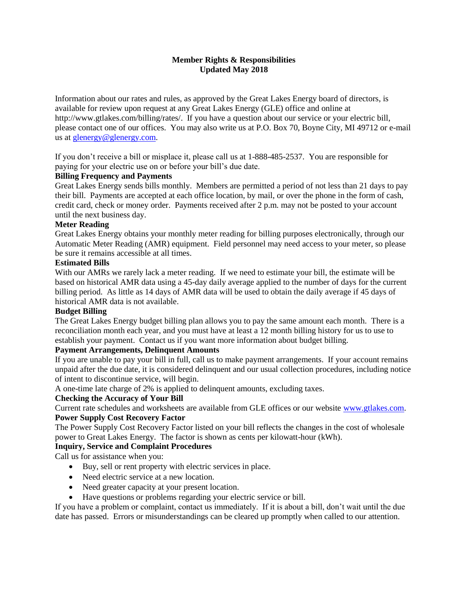# **Member Rights & Responsibilities Updated May 2018**

Information about our rates and rules, as approved by the Great Lakes Energy board of directors, is available for review upon request at any Great Lakes Energy (GLE) office and online at http://www.gtlakes.com/billing/rates/. If you have a question about our service or your electric bill, please contact one of our offices. You may also write us at P.O. Box 70, Boyne City, MI 49712 or e-mail us at [glenergy@glenergy.com.](mailto:glenergy@glenergy.com)

If you don't receive a bill or misplace it, please call us at 1-888-485-2537. You are responsible for paying for your electric use on or before your bill's due date.

### **Billing Frequency and Payments**

Great Lakes Energy sends bills monthly. Members are permitted a period of not less than 21 days to pay their bill. Payments are accepted at each office location, by mail, or over the phone in the form of cash, credit card, check or money order. Payments received after 2 p.m. may not be posted to your account until the next business day.

#### **Meter Reading**

Great Lakes Energy obtains your monthly meter reading for billing purposes electronically, through our Automatic Meter Reading (AMR) equipment. Field personnel may need access to your meter, so please be sure it remains accessible at all times.

### **Estimated Bills**

With our AMRs we rarely lack a meter reading. If we need to estimate your bill, the estimate will be based on historical AMR data using a 45-day daily average applied to the number of days for the current billing period. As little as 14 days of AMR data will be used to obtain the daily average if 45 days of historical AMR data is not available.

### **Budget Billing**

The Great Lakes Energy budget billing plan allows you to pay the same amount each month. There is a reconciliation month each year, and you must have at least a 12 month billing history for us to use to establish your payment. Contact us if you want more information about budget billing.

# **Payment Arrangements, Delinquent Amounts**

If you are unable to pay your bill in full, call us to make payment arrangements. If your account remains unpaid after the due date, it is considered delinquent and our usual collection procedures, including notice of intent to discontinue service, will begin.

A one-time late charge of 2% is applied to delinquent amounts, excluding taxes.

#### **Checking the Accuracy of Your Bill**

Current rate schedules and worksheets are available from GLE offices or our website [www.gtlakes.com.](http://www.gtlakes.com/) **Power Supply Cost Recovery Factor**

The Power Supply Cost Recovery Factor listed on your bill reflects the changes in the cost of wholesale power to Great Lakes Energy. The factor is shown as cents per kilowatt-hour (kWh).

### **Inquiry, Service and Complaint Procedures**

Call us for assistance when you:

- Buy, sell or rent property with electric services in place.
- Need electric service at a new location.
- Need greater capacity at your present location.
- Have questions or problems regarding your electric service or bill.

If you have a problem or complaint, contact us immediately. If it is about a bill, don't wait until the due date has passed. Errors or misunderstandings can be cleared up promptly when called to our attention.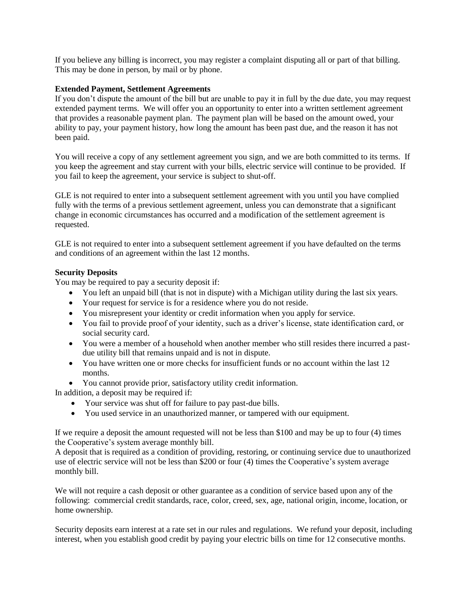If you believe any billing is incorrect, you may register a complaint disputing all or part of that billing. This may be done in person, by mail or by phone.

# **Extended Payment, Settlement Agreements**

If you don't dispute the amount of the bill but are unable to pay it in full by the due date, you may request extended payment terms. We will offer you an opportunity to enter into a written settlement agreement that provides a reasonable payment plan. The payment plan will be based on the amount owed, your ability to pay, your payment history, how long the amount has been past due, and the reason it has not been paid.

You will receive a copy of any settlement agreement you sign, and we are both committed to its terms. If you keep the agreement and stay current with your bills, electric service will continue to be provided. If you fail to keep the agreement, your service is subject to shut-off.

GLE is not required to enter into a subsequent settlement agreement with you until you have complied fully with the terms of a previous settlement agreement, unless you can demonstrate that a significant change in economic circumstances has occurred and a modification of the settlement agreement is requested.

GLE is not required to enter into a subsequent settlement agreement if you have defaulted on the terms and conditions of an agreement within the last 12 months.

### **Security Deposits**

You may be required to pay a security deposit if:

- You left an unpaid bill (that is not in dispute) with a Michigan utility during the last six years.
- Your request for service is for a residence where you do not reside.
- You misrepresent your identity or credit information when you apply for service.
- You fail to provide proof of your identity, such as a driver's license, state identification card, or social security card.
- You were a member of a household when another member who still resides there incurred a pastdue utility bill that remains unpaid and is not in dispute.
- You have written one or more checks for insufficient funds or no account within the last 12 months.
- You cannot provide prior, satisfactory utility credit information.

In addition, a deposit may be required if:

- Your service was shut off for failure to pay past-due bills.
- You used service in an unauthorized manner, or tampered with our equipment.

If we require a deposit the amount requested will not be less than \$100 and may be up to four (4) times the Cooperative's system average monthly bill.

A deposit that is required as a condition of providing, restoring, or continuing service due to unauthorized use of electric service will not be less than \$200 or four (4) times the Cooperative's system average monthly bill.

We will not require a cash deposit or other guarantee as a condition of service based upon any of the following: commercial credit standards, race, color, creed, sex, age, national origin, income, location, or home ownership.

Security deposits earn interest at a rate set in our rules and regulations. We refund your deposit, including interest, when you establish good credit by paying your electric bills on time for 12 consecutive months.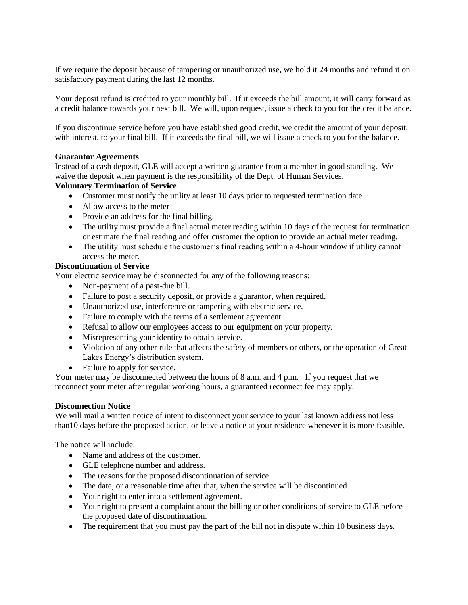If we require the deposit because of tampering or unauthorized use, we hold it 24 months and refund it on satisfactory payment during the last 12 months.

Your deposit refund is credited to your monthly bill. If it exceeds the bill amount, it will carry forward as a credit balance towards your next bill. We will, upon request, issue a check to you for the credit balance.

If you discontinue service before you have established good credit, we credit the amount of your deposit, with interest, to your final bill. If it exceeds the final bill, we will issue a check to you for the balance.

#### **Guarantor Agreements**

Instead of a cash deposit, GLE will accept a written guarantee from a member in good standing. We waive the deposit when payment is the responsibility of the Dept. of Human Services.

# **Voluntary Termination of Service**

- Customer must notify the utility at least 10 days prior to requested termination date
- Allow access to the meter
- Provide an address for the final billing.
- The utility must provide a final actual meter reading within 10 days of the request for termination or estimate the final reading and offer customer the option to provide an actual meter reading.
- The utility must schedule the customer's final reading within a 4-hour window if utility cannot access the meter.

# **Discontinuation of Service**

Your electric service may be disconnected for any of the following reasons:

- Non-payment of a past-due bill.
- Failure to post a security deposit, or provide a guarantor, when required.
- Unauthorized use, interference or tampering with electric service.
- Failure to comply with the terms of a settlement agreement.
- Refusal to allow our employees access to our equipment on your property.
- Misrepresenting your identity to obtain service.
- Violation of any other rule that affects the safety of members or others, or the operation of Great Lakes Energy's distribution system.
- Failure to apply for service.

Your meter may be disconnected between the hours of 8 a.m. and 4 p.m. If you request that we reconnect your meter after regular working hours, a guaranteed reconnect fee may apply.

#### **Disconnection Notice**

We will mail a written notice of intent to disconnect your service to your last known address not less than10 days before the proposed action, or leave a notice at your residence whenever it is more feasible.

The notice will include:

- Name and address of the customer.
- GLE telephone number and address.
- The reasons for the proposed discontinuation of service.
- The date, or a reasonable time after that, when the service will be discontinued.
- Your right to enter into a settlement agreement.
- Your right to present a complaint about the billing or other conditions of service to GLE before the proposed date of discontinuation.
- The requirement that you must pay the part of the bill not in dispute within 10 business days.